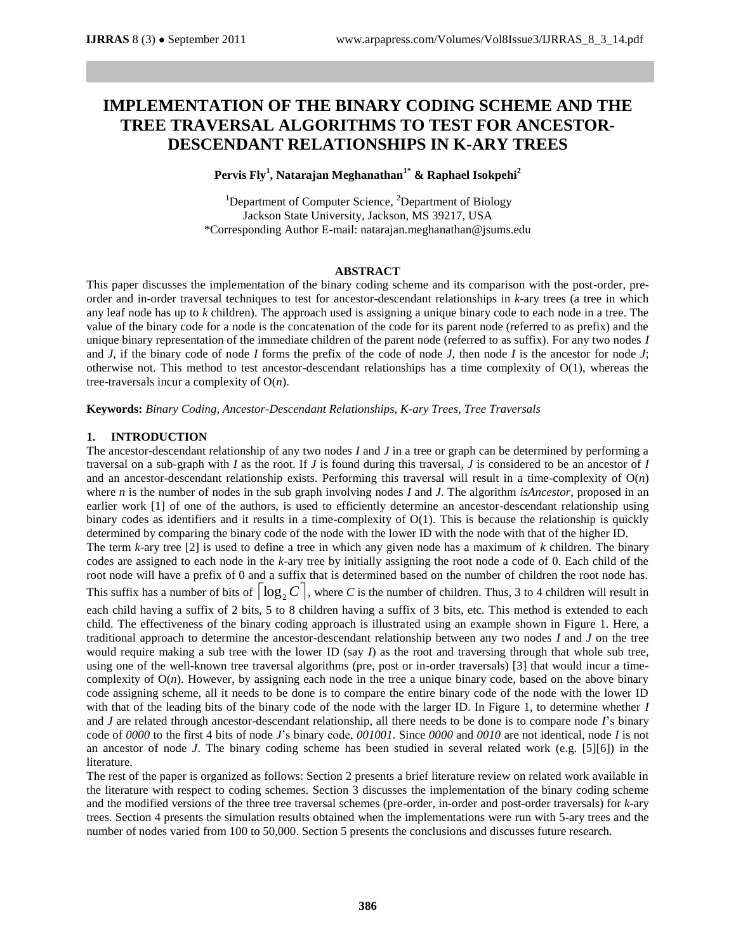# **IMPLEMENTATION OF THE BINARY CODING SCHEME AND THE TREE TRAVERSAL ALGORITHMS TO TEST FOR ANCESTOR-DESCENDANT RELATIONSHIPS IN K-ARY TREES**

# **Pervis Fly<sup>1</sup> , Natarajan Meghanathan1\* & Raphael Isokpehi<sup>2</sup>**

<sup>1</sup>Department of Computer Science,  ${}^{2}$ Department of Biology Jackson State University, Jackson, MS 39217, USA \*Corresponding Author E-mail: natarajan.meghanathan@jsums.edu

## **ABSTRACT**

This paper discusses the implementation of the binary coding scheme and its comparison with the post-order, preorder and in-order traversal techniques to test for ancestor-descendant relationships in *k*-ary trees (a tree in which any leaf node has up to *k* children). The approach used is assigning a unique binary code to each node in a tree. The value of the binary code for a node is the concatenation of the code for its parent node (referred to as prefix) and the unique binary representation of the immediate children of the parent node (referred to as suffix). For any two nodes *I* and *J*, if the binary code of node *I* forms the prefix of the code of node *J*, then node *I* is the ancestor for node *J*; otherwise not. This method to test ancestor-descendant relationships has a time complexity of O(1), whereas the tree-traversals incur a complexity of O(*n*).

**Keywords:** *Binary Coding, Ancestor-Descendant Relationships, K-ary Trees, Tree Traversals*

# **1. INTRODUCTION**

The ancestor-descendant relationship of any two nodes *I* and *J* in a tree or graph can be determined by performing a traversal on a sub-graph with *I* as the root. If *J* is found during this traversal, *J* is considered to be an ancestor of *I* and an ancestor-descendant relationship exists. Performing this traversal will result in a time-complexity of O(*n*) where *n* is the number of nodes in the sub graph involving nodes *I* and *J*. The algorithm *isAncestor*, proposed in an earlier work [1] of one of the authors, is used to efficiently determine an ancestor-descendant relationship using binary codes as identifiers and it results in a time-complexity of O(1). This is because the relationship is quickly determined by comparing the binary code of the node with the lower ID with the node with that of the higher ID.

The term *k*-ary tree [2] is used to define a tree in which any given node has a maximum of *k* children. The binary codes are assigned to each node in the *k*-ary tree by initially assigning the root node a code of 0. Each child of the root node will have a prefix of 0 and a suffix that is determined based on the number of children the root node has.

This suffix has a number of bits of  $|\log_2 C|$ , where *C* is the number of children. Thus, 3 to 4 children will result in

each child having a suffix of 2 bits, 5 to 8 children having a suffix of 3 bits, etc. This method is extended to each child. The effectiveness of the binary coding approach is illustrated using an example shown in Figure 1. Here, a traditional approach to determine the ancestor-descendant relationship between any two nodes *I* and *J* on the tree would require making a sub tree with the lower ID (say *I*) as the root and traversing through that whole sub tree, using one of the well-known tree traversal algorithms (pre, post or in-order traversals) [3] that would incur a timecomplexity of  $O(n)$ . However, by assigning each node in the tree a unique binary code, based on the above binary code assigning scheme, all it needs to be done is to compare the entire binary code of the node with the lower ID with that of the leading bits of the binary code of the node with the larger ID. In Figure 1, to determine whether *I* and *J* are related through ancestor-descendant relationship, all there needs to be done is to compare node *I*'s binary code of *0000* to the first 4 bits of node *J*'s binary code, *001001*. Since *0000* and *0010* are not identical, node *I* is not an ancestor of node *J*. The binary coding scheme has been studied in several related work (e.g. [5][6]) in the literature.

The rest of the paper is organized as follows: Section 2 presents a brief literature review on related work available in the literature with respect to coding schemes. Section 3 discusses the implementation of the binary coding scheme and the modified versions of the three tree traversal schemes (pre-order, in-order and post-order traversals) for *k*-ary trees. Section 4 presents the simulation results obtained when the implementations were run with 5-ary trees and the number of nodes varied from 100 to 50,000. Section 5 presents the conclusions and discusses future research.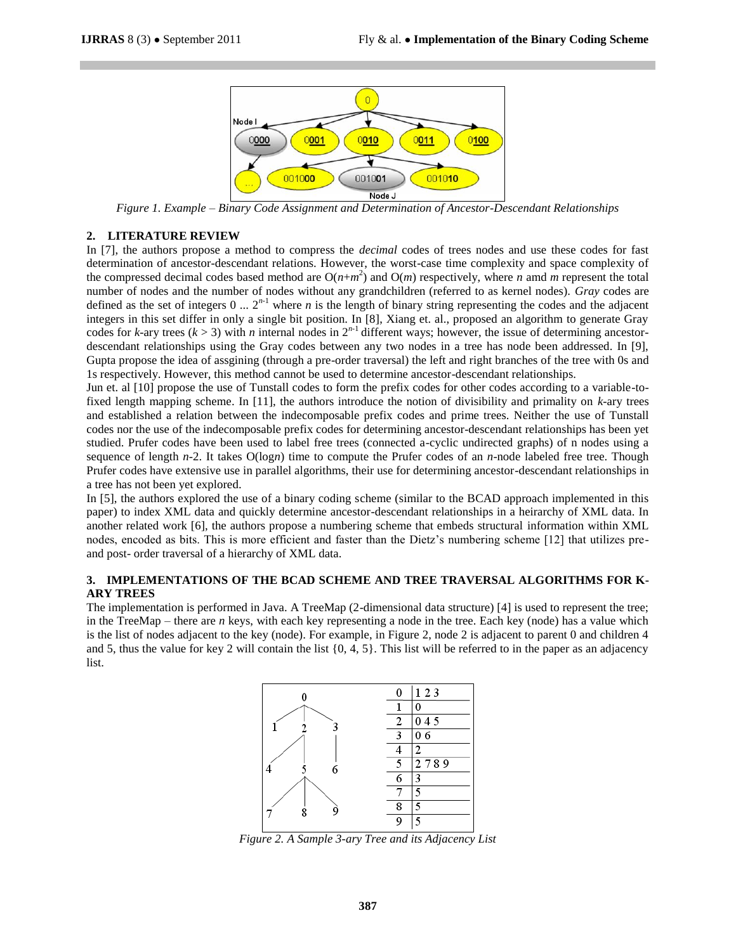

*Figure 1. Example – Binary Code Assignment and Determination of Ancestor-Descendant Relationships*

#### **2. LITERATURE REVIEW**

In [7], the authors propose a method to compress the *decimal* codes of trees nodes and use these codes for fast determination of ancestor-descendant relations. However, the worst-case time complexity and space complexity of the compressed decimal codes based method are  $O(n+m^2)$  and  $O(m)$  respectively, where *n* amd *m* represent the total number of nodes and the number of nodes without any grandchildren (referred to as kernel nodes). *Gray* codes are defined as the set of integers  $0 \ldots 2^{n-1}$  where *n* is the length of binary string representing the codes and the adjacent integers in this set differ in only a single bit position. In [8], Xiang et. al., proposed an algorithm to generate Gray codes for *k*-ary trees ( $k > 3$ ) with *n* internal nodes in  $2^{n-1}$  different ways; however, the issue of determining ancestordescendant relationships using the Gray codes between any two nodes in a tree has node been addressed. In [9], Gupta propose the idea of assgining (through a pre-order traversal) the left and right branches of the tree with 0s and 1s respectively. However, this method cannot be used to determine ancestor-descendant relationships.

Jun et. al [10] propose the use of Tunstall codes to form the prefix codes for other codes according to a variable-tofixed length mapping scheme. In [11], the authors introduce the notion of divisibility and primality on *k*-ary trees and established a relation between the indecomposable prefix codes and prime trees. Neither the use of Tunstall codes nor the use of the indecomposable prefix codes for determining ancestor-descendant relationships has been yet studied. Prufer codes have been used to label free trees (connected a-cyclic undirected graphs) of n nodes using a sequence of length *n*-2. It takes O(log*n*) time to compute the Prufer codes of an *n*-node labeled free tree. Though Prufer codes have extensive use in parallel algorithms, their use for determining ancestor-descendant relationships in a tree has not been yet explored.

In [5], the authors explored the use of a binary coding scheme (similar to the BCAD approach implemented in this paper) to index XML data and quickly determine ancestor-descendant relationships in a heirarchy of XML data. In another related work [6], the authors propose a numbering scheme that embeds structural information within XML nodes, encoded as bits. This is more efficient and faster than the Dietz's numbering scheme [12] that utilizes preand post- order traversal of a hierarchy of XML data.

## **3. IMPLEMENTATIONS OF THE BCAD SCHEME AND TREE TRAVERSAL ALGORITHMS FOR K-ARY TREES**

The implementation is performed in Java. A TreeMap (2-dimensional data structure) [4] is used to represent the tree; in the TreeMap – there are *n* keys, with each key representing a node in the tree. Each key (node) has a value which is the list of nodes adjacent to the key (node). For example, in Figure 2, node 2 is adjacent to parent 0 and children 4 and 5, thus the value for key 2 will contain the list  $\{0, 4, 5\}$ . This list will be referred to in the paper as an adjacency list.



*Figure 2. A Sample 3-ary Tree and its Adjacency List*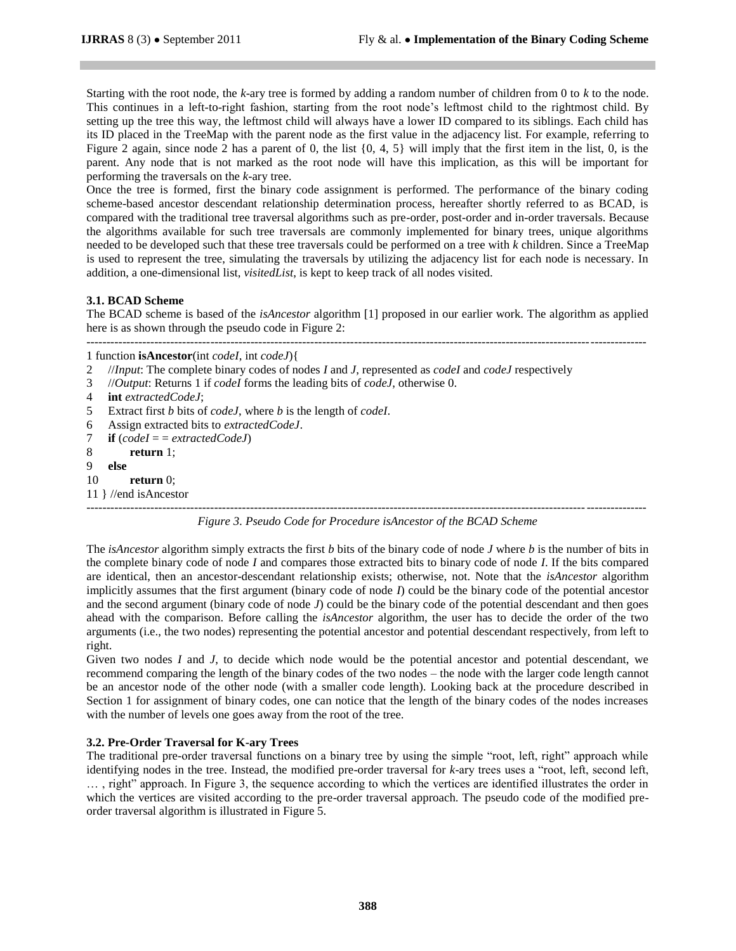Starting with the root node, the *k*-ary tree is formed by adding a random number of children from 0 to *k* to the node. This continues in a left-to-right fashion, starting from the root node's leftmost child to the rightmost child. By setting up the tree this way, the leftmost child will always have a lower ID compared to its siblings. Each child has its ID placed in the TreeMap with the parent node as the first value in the adjacency list. For example, referring to Figure 2 again, since node 2 has a parent of 0, the list  $\{0, 4, 5\}$  will imply that the first item in the list, 0, is the parent. Any node that is not marked as the root node will have this implication, as this will be important for performing the traversals on the *k*-ary tree.

Once the tree is formed, first the binary code assignment is performed. The performance of the binary coding scheme-based ancestor descendant relationship determination process, hereafter shortly referred to as BCAD, is compared with the traditional tree traversal algorithms such as pre-order, post-order and in-order traversals. Because the algorithms available for such tree traversals are commonly implemented for binary trees, unique algorithms needed to be developed such that these tree traversals could be performed on a tree with *k* children. Since a TreeMap is used to represent the tree, simulating the traversals by utilizing the adjacency list for each node is necessary. In addition, a one-dimensional list, *visitedList*, is kept to keep track of all nodes visited.

## **3.1. BCAD Scheme**

The BCAD scheme is based of the *isAncestor* algorithm [1] proposed in our earlier work. The algorithm as applied here is as shown through the pseudo code in Figure 2:

--------------------------------------------------------------------------------------------------------------------------------------------

1 function **isAncestor**(int *codeI*, int *codeJ*){

```
2 //Input: The complete binary codes of nodes I and J, represented as codeI and codeJ respectively
```
- 3 //*Output*: Returns 1 if *codeI* forms the leading bits of *codeJ*, otherwise 0.
- 4 **int** *extractedCodeJ*;
- 5 Extract first *b* bits of *codeJ*, where *b* is the length of *codeI*.
- 6 Assign extracted bits to *extractedCodeJ*.
- 7 **if** (*codeI* = = *extractedCodeJ*)
- 8 **return** 1;
- 9 **else**
- 10 **return** 0;
- 11 } //end isAncestor

-------------------------------------------------------------------------------------------------------------------------------------------- *Figure 3. Pseudo Code for Procedure isAncestor of the BCAD Scheme*

The *isAncestor* algorithm simply extracts the first *b* bits of the binary code of node *J* where *b* is the number of bits in the complete binary code of node *I* and compares those extracted bits to binary code of node *I*. If the bits compared are identical, then an ancestor-descendant relationship exists; otherwise, not. Note that the *isAncestor* algorithm implicitly assumes that the first argument (binary code of node *I*) could be the binary code of the potential ancestor and the second argument (binary code of node *J*) could be the binary code of the potential descendant and then goes ahead with the comparison. Before calling the *isAncestor* algorithm, the user has to decide the order of the two arguments (i.e., the two nodes) representing the potential ancestor and potential descendant respectively, from left to right.

Given two nodes *I* and *J*, to decide which node would be the potential ancestor and potential descendant, we recommend comparing the length of the binary codes of the two nodes – the node with the larger code length cannot be an ancestor node of the other node (with a smaller code length). Looking back at the procedure described in Section 1 for assignment of binary codes, one can notice that the length of the binary codes of the nodes increases with the number of levels one goes away from the root of the tree.

## **3.2. Pre-Order Traversal for K-ary Trees**

The traditional pre-order traversal functions on a binary tree by using the simple "root, left, right" approach while identifying nodes in the tree. Instead, the modified pre-order traversal for *k*-ary trees uses a "root, left, second left, ..., right" approach. In Figure 3, the sequence according to which the vertices are identified illustrates the order in which the vertices are visited according to the pre-order traversal approach. The pseudo code of the modified preorder traversal algorithm is illustrated in Figure 5.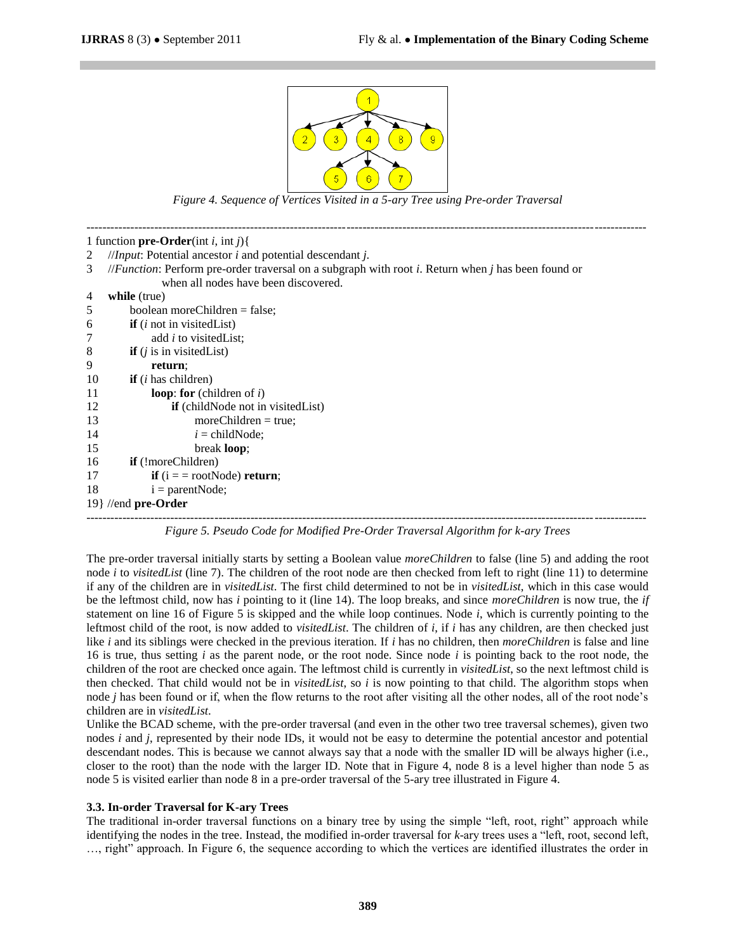

*Figure 4. Sequence of Vertices Visited in a 5-ary Tree using Pre-order Traversal*

| 1 function pre-Order(int <i>i</i> , int <i>j</i> ){ |                                                                                                    |  |  |  |  |
|-----------------------------------------------------|----------------------------------------------------------------------------------------------------|--|--|--|--|
| 2                                                   | // <i>Input</i> : Potential ancestor $i$ and potential descendant $j$ .                            |  |  |  |  |
| 3                                                   | //Function: Perform pre-order traversal on a subgraph with root i. Return when j has been found or |  |  |  |  |
|                                                     | when all nodes have been discovered.                                                               |  |  |  |  |
| 4                                                   | while (true)                                                                                       |  |  |  |  |
| 5                                                   | boolean moreChildren = false;                                                                      |  |  |  |  |
| 6                                                   | <b>if</b> $(i$ not in visited List)                                                                |  |  |  |  |
|                                                     | add <i>i</i> to visited List;                                                                      |  |  |  |  |
| 8                                                   | <b>if</b> $(j$ is in visited List)                                                                 |  |  |  |  |
| 9                                                   | return;                                                                                            |  |  |  |  |
| 10                                                  | <b>if</b> $(i$ has children)                                                                       |  |  |  |  |
| 11                                                  | <b>loop:</b> for (children of $i$ )                                                                |  |  |  |  |
| 12                                                  | if (childNode not in visitedList)                                                                  |  |  |  |  |
| 13                                                  | $moreChildren = true$ ;                                                                            |  |  |  |  |
| 14                                                  | $i = \text{childNode}$                                                                             |  |  |  |  |
| 15                                                  | break <b>loop</b> ;                                                                                |  |  |  |  |
| 16                                                  | <b>if</b> (!moreChildren)                                                                          |  |  |  |  |
| 17                                                  | <b>if</b> $(i = = rootNode)$ <b>return</b> ;                                                       |  |  |  |  |
| 18                                                  | $i = parentNode;$                                                                                  |  |  |  |  |
| $19$ //end pre-Order                                |                                                                                                    |  |  |  |  |
|                                                     |                                                                                                    |  |  |  |  |

*Figure 5. Pseudo Code for Modified Pre-Order Traversal Algorithm for k-ary Trees*

The pre-order traversal initially starts by setting a Boolean value *moreChildren* to false (line 5) and adding the root node *i* to *visitedList* (line 7). The children of the root node are then checked from left to right (line 11) to determine if any of the children are in *visitedList*. The first child determined to not be in *visitedList*, which in this case would be the leftmost child, now has *i* pointing to it (line 14). The loop breaks, and since *moreChildren* is now true, the *if*  statement on line 16 of Figure 5 is skipped and the while loop continues. Node *i*, which is currently pointing to the leftmost child of the root, is now added to *visitedList*. The children of *i*, if *i* has any children, are then checked just like *i* and its siblings were checked in the previous iteration. If *i* has no children, then *moreChildren* is false and line 16 is true, thus setting *i* as the parent node, or the root node. Since node *i* is pointing back to the root node, the children of the root are checked once again. The leftmost child is currently in *visitedList*, so the next leftmost child is then checked. That child would not be in *visitedList*, so *i* is now pointing to that child. The algorithm stops when node *j* has been found or if, when the flow returns to the root after visiting all the other nodes, all of the root node's children are in *visitedList*.

Unlike the BCAD scheme, with the pre-order traversal (and even in the other two tree traversal schemes), given two nodes *i* and *j*, represented by their node IDs, it would not be easy to determine the potential ancestor and potential descendant nodes. This is because we cannot always say that a node with the smaller ID will be always higher (i.e., closer to the root) than the node with the larger ID. Note that in Figure 4, node 8 is a level higher than node 5 as node 5 is visited earlier than node 8 in a pre-order traversal of the 5-ary tree illustrated in Figure 4.

#### **3.3. In-order Traversal for K-ary Trees**

The traditional in-order traversal functions on a binary tree by using the simple "left, root, right" approach while identifying the nodes in the tree. Instead, the modified in-order traversal for *k*-ary trees uses a "left, root, second left, ..., right" approach. In Figure 6, the sequence according to which the vertices are identified illustrates the order in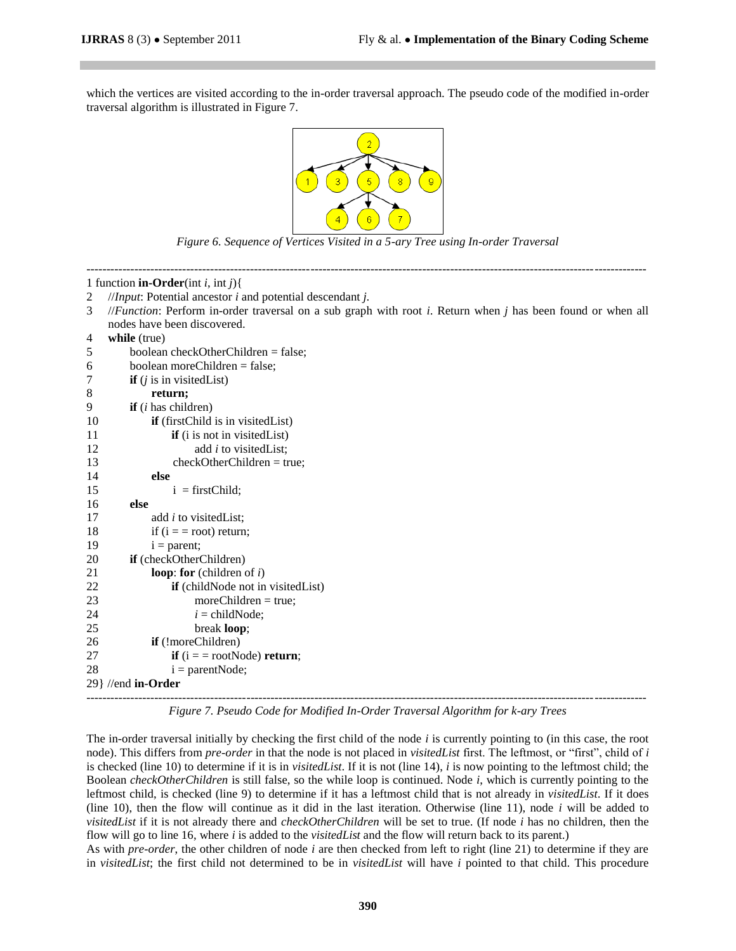which the vertices are visited according to the in-order traversal approach. The pseudo code of the modified in-order traversal algorithm is illustrated in Figure 7.



*Figure 6. Sequence of Vertices Visited in a 5-ary Tree using In-order Traversal*

| 1 function <b>in-Order</b> (int <i>i</i> , int <i>j</i> ){ |                                                                                                                        |  |  |  |  |  |  |
|------------------------------------------------------------|------------------------------------------------------------------------------------------------------------------------|--|--|--|--|--|--|
| 2                                                          | //Input: Potential ancestor $i$ and potential descendant $j$ .                                                         |  |  |  |  |  |  |
| 3                                                          | // <i>Function</i> : Perform in-order traversal on a sub graph with root i. Return when $j$ has been found or when all |  |  |  |  |  |  |
|                                                            | nodes have been discovered.                                                                                            |  |  |  |  |  |  |
| 4                                                          | while (true)                                                                                                           |  |  |  |  |  |  |
| 5                                                          | boolean checkOtherChildren = false;                                                                                    |  |  |  |  |  |  |
| 6                                                          | boolean moreChildren = false;                                                                                          |  |  |  |  |  |  |
| 7                                                          | <b>if</b> $(j$ is in visited List)                                                                                     |  |  |  |  |  |  |
| 8                                                          | return;                                                                                                                |  |  |  |  |  |  |
| 9                                                          | if $(i$ has children)                                                                                                  |  |  |  |  |  |  |
| 10                                                         | if (firstChild is in visitedList)                                                                                      |  |  |  |  |  |  |
| 11                                                         | <b>if</b> (i is not in visited List)                                                                                   |  |  |  |  |  |  |
| 12                                                         | add i to visitedList;                                                                                                  |  |  |  |  |  |  |
| 13                                                         | $checkOtherChildren = true;$                                                                                           |  |  |  |  |  |  |
| 14                                                         | else                                                                                                                   |  |  |  |  |  |  |
| 15                                                         | $i = firstChild;$                                                                                                      |  |  |  |  |  |  |
| 16                                                         | else                                                                                                                   |  |  |  |  |  |  |
| 17                                                         | add <i>i</i> to visited List;                                                                                          |  |  |  |  |  |  |
| 18                                                         | if $(i == root)$ return;                                                                                               |  |  |  |  |  |  |
| 19                                                         | $i = parent;$                                                                                                          |  |  |  |  |  |  |
| 20                                                         | if (checkOtherChildren)                                                                                                |  |  |  |  |  |  |
| 21                                                         | loop: for (children of $i$ )                                                                                           |  |  |  |  |  |  |
| 22                                                         | if (childNode not in visitedList)                                                                                      |  |  |  |  |  |  |
| 23                                                         | $moreChildren = true;$                                                                                                 |  |  |  |  |  |  |
| 24                                                         | $i = \text{childNode};$                                                                                                |  |  |  |  |  |  |
| 25                                                         | break loop;                                                                                                            |  |  |  |  |  |  |
| 26                                                         | if (!moreChildren)                                                                                                     |  |  |  |  |  |  |
| 27                                                         | if $(i = = rootNode)$ return;                                                                                          |  |  |  |  |  |  |
| 28                                                         | $i = parentNode;$                                                                                                      |  |  |  |  |  |  |
| $29$ //end in-Order                                        |                                                                                                                        |  |  |  |  |  |  |
|                                                            |                                                                                                                        |  |  |  |  |  |  |

*Figure 7. Pseudo Code for Modified In-Order Traversal Algorithm for k-ary Trees*

The in-order traversal initially by checking the first child of the node *i* is currently pointing to (in this case, the root node). This differs from *pre-order* in that the node is not placed in *visitedList* first. The leftmost, or "first", child of *i* is checked (line 10) to determine if it is in *visitedList*. If it is not (line 14), *i* is now pointing to the leftmost child; the Boolean *checkOtherChildren* is still false, so the while loop is continued. Node *i*, which is currently pointing to the leftmost child, is checked (line 9) to determine if it has a leftmost child that is not already in *visitedList*. If it does (line 10), then the flow will continue as it did in the last iteration. Otherwise (line 11), node *i* will be added to *visitedList* if it is not already there and *checkOtherChildren* will be set to true. (If node *i* has no children, then the flow will go to line 16, where *i* is added to the *visitedList* and the flow will return back to its parent.)

As with *pre-order*, the other children of node *i* are then checked from left to right (line 21) to determine if they are in *visitedList*; the first child not determined to be in *visitedList* will have *i* pointed to that child. This procedure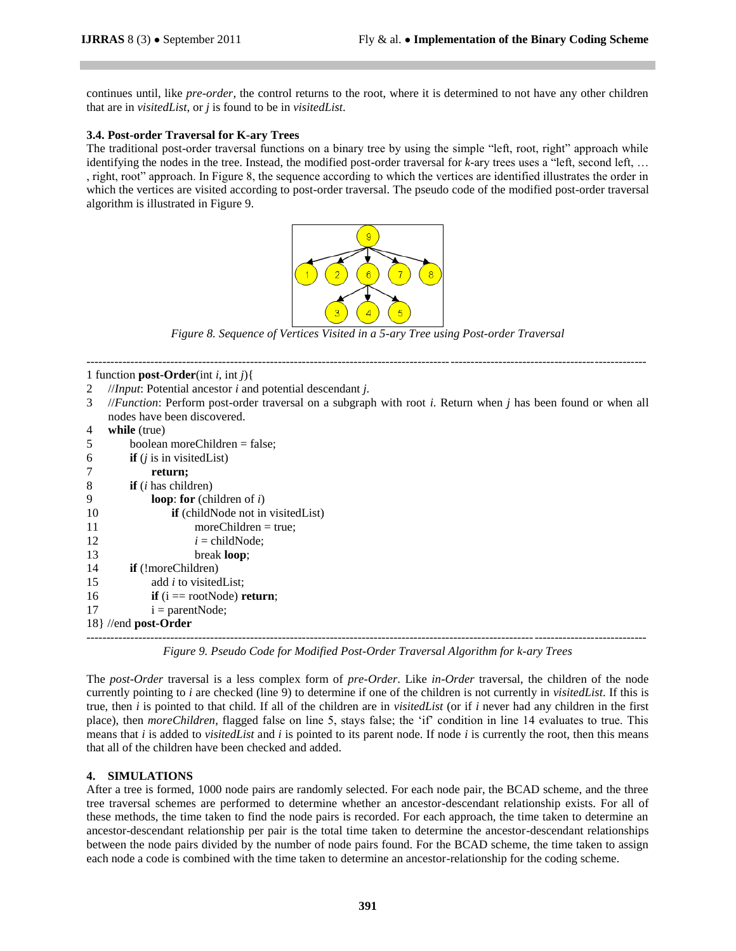continues until, like *pre-order*, the control returns to the root, where it is determined to not have any other children that are in *visitedList*, or *j* is found to be in *visitedList*.

### **3.4. Post-order Traversal for K-ary Trees**

The traditional post-order traversal functions on a binary tree by using the simple "left, root, right" approach while identifying the nodes in the tree. Instead, the modified post-order traversal for  $k$ -ary trees uses a "left, second left, ... , right, root‖ approach. In Figure 8, the sequence according to which the vertices are identified illustrates the order in which the vertices are visited according to post-order traversal. The pseudo code of the modified post-order traversal algorithm is illustrated in Figure 9.



*Figure 8. Sequence of Vertices Visited in a 5-ary Tree using Post-order Traversal*

--------------------------------------------------------------------------------------------------------------------------------------------

#### 1 function **post-Order**(int *i*, int *j*){

- 2 //*Input*: Potential ancestor *i* and potential descendant *j*.
- 3 //*Function*: Perform post-order traversal on a subgraph with root *i*. Return when *j* has been found or when all nodes have been discovered.

| 4                     | while (true)                                                                                              |  |  |  |
|-----------------------|-----------------------------------------------------------------------------------------------------------|--|--|--|
| 5                     | boolean moreChildren = false;                                                                             |  |  |  |
| 6                     | <b>if</b> $(i$ is in visited List)                                                                        |  |  |  |
| 7                     | return;                                                                                                   |  |  |  |
| 8                     | $\mathbf{if}$ ( <i>i</i> has children)                                                                    |  |  |  |
| 9                     | <b>loop:</b> for (children of $i$ )                                                                       |  |  |  |
| 10                    | if (childNode not in visitedList)                                                                         |  |  |  |
| 11                    | $moreChildren = true;$                                                                                    |  |  |  |
| 12                    | $i = \text{childNode}$                                                                                    |  |  |  |
| 13                    | break <b>loop</b> ;                                                                                       |  |  |  |
| 14                    | <b>if</b> (!moreChildren)                                                                                 |  |  |  |
| 15                    | add <i>i</i> to visited List;                                                                             |  |  |  |
| 16                    | <b>if</b> $(i == rootNode)$ <b>return</b> ;                                                               |  |  |  |
| 17                    | $i = parentNode;$                                                                                         |  |  |  |
| $18$ //end post-Order |                                                                                                           |  |  |  |
|                       | $\sim$<br>$\alpha$ , $\alpha$ , $\alpha$ , $\alpha$ , $\alpha$ , $\alpha$ , $\alpha$ , $\alpha$<br>$\sim$ |  |  |  |

*Figure 9. Pseudo Code for Modified Post-Order Traversal Algorithm for k-ary Trees*

The *post-Order* traversal is a less complex form of *pre-Order*. Like *in-Order* traversal, the children of the node currently pointing to *i* are checked (line 9) to determine if one of the children is not currently in *visitedList*. If this is true, then *i* is pointed to that child. If all of the children are in *visitedList* (or if *i* never had any children in the first place), then *moreChildren*, flagged false on line 5, stays false; the ‗if' condition in line 14 evaluates to true. This means that *i* is added to *visitedList* and *i* is pointed to its parent node. If node *i* is currently the root, then this means that all of the children have been checked and added.

## **4. SIMULATIONS**

After a tree is formed, 1000 node pairs are randomly selected. For each node pair, the BCAD scheme, and the three tree traversal schemes are performed to determine whether an ancestor-descendant relationship exists. For all of these methods, the time taken to find the node pairs is recorded. For each approach, the time taken to determine an ancestor-descendant relationship per pair is the total time taken to determine the ancestor-descendant relationships between the node pairs divided by the number of node pairs found. For the BCAD scheme, the time taken to assign each node a code is combined with the time taken to determine an ancestor-relationship for the coding scheme.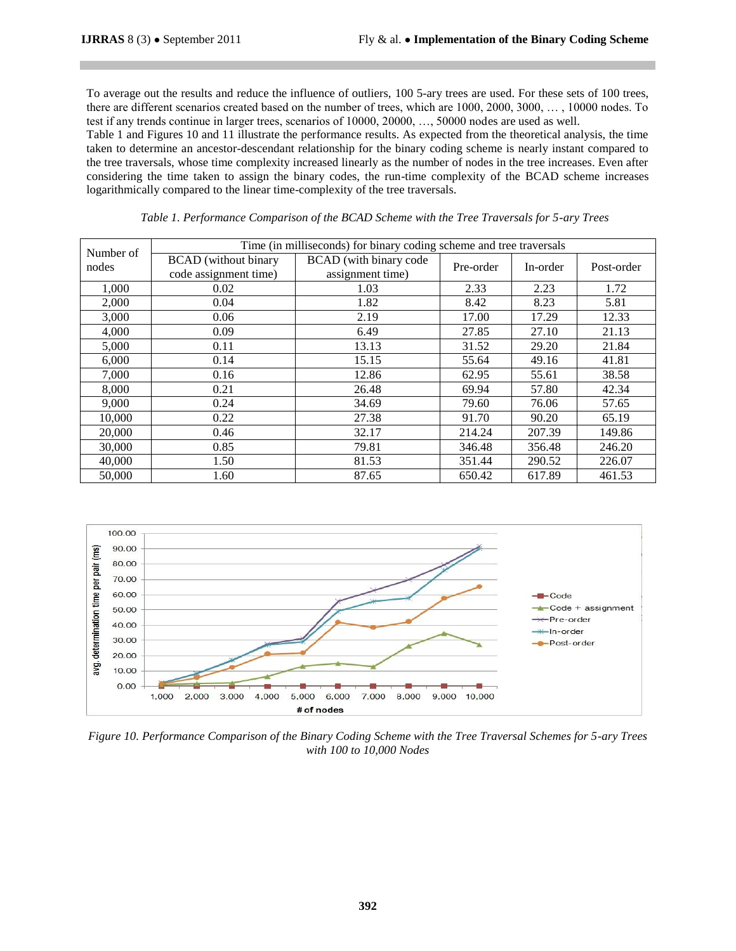To average out the results and reduce the influence of outliers, 100 5-ary trees are used. For these sets of 100 trees, there are different scenarios created based on the number of trees, which are 1000, 2000, 3000, … , 10000 nodes. To test if any trends continue in larger trees, scenarios of 10000, 20000, …, 50000 nodes are used as well.

Table 1 and Figures 10 and 11 illustrate the performance results. As expected from the theoretical analysis, the time taken to determine an ancestor-descendant relationship for the binary coding scheme is nearly instant compared to the tree traversals, whose time complexity increased linearly as the number of nodes in the tree increases. Even after considering the time taken to assign the binary codes, the run-time complexity of the BCAD scheme increases logarithmically compared to the linear time-complexity of the tree traversals.

|                    | Time (in milliseconds) for binary coding scheme and tree traversals |                        |           |          |            |
|--------------------|---------------------------------------------------------------------|------------------------|-----------|----------|------------|
| Number of<br>nodes | <b>BCAD</b> (without binary                                         | BCAD (with binary code | Pre-order | In-order | Post-order |
|                    | code assignment time)                                               | assignment time)       |           |          |            |
| 1,000              | 0.02                                                                | 1.03                   | 2.33      | 2.23     | 1.72       |
| 2,000              | 0.04                                                                | 1.82                   | 8.42      | 8.23     | 5.81       |
| 3,000              | 0.06                                                                | 2.19                   | 17.00     | 17.29    | 12.33      |
| 4,000              | 0.09                                                                | 6.49                   | 27.85     | 27.10    | 21.13      |
| 5,000              | 0.11                                                                | 13.13                  | 31.52     | 29.20    | 21.84      |
| 6,000              | 0.14                                                                | 15.15                  | 55.64     | 49.16    | 41.81      |
| 7,000              | 0.16                                                                | 12.86                  | 62.95     | 55.61    | 38.58      |
| 8,000              | 0.21                                                                | 26.48                  | 69.94     | 57.80    | 42.34      |
| 9,000              | 0.24                                                                | 34.69                  | 79.60     | 76.06    | 57.65      |
| 10,000             | 0.22                                                                | 27.38                  | 91.70     | 90.20    | 65.19      |
| 20,000             | 0.46                                                                | 32.17                  | 214.24    | 207.39   | 149.86     |
| 30,000             | 0.85                                                                | 79.81                  | 346.48    | 356.48   | 246.20     |
| 40,000             | 1.50                                                                | 81.53                  | 351.44    | 290.52   | 226.07     |
| 50,000             | 1.60                                                                | 87.65                  | 650.42    | 617.89   | 461.53     |

*Table 1. Performance Comparison of the BCAD Scheme with the Tree Traversals for 5-ary Trees*



*Figure 10. Performance Comparison of the Binary Coding Scheme with the Tree Traversal Schemes for 5-ary Trees with 100 to 10,000 Nodes*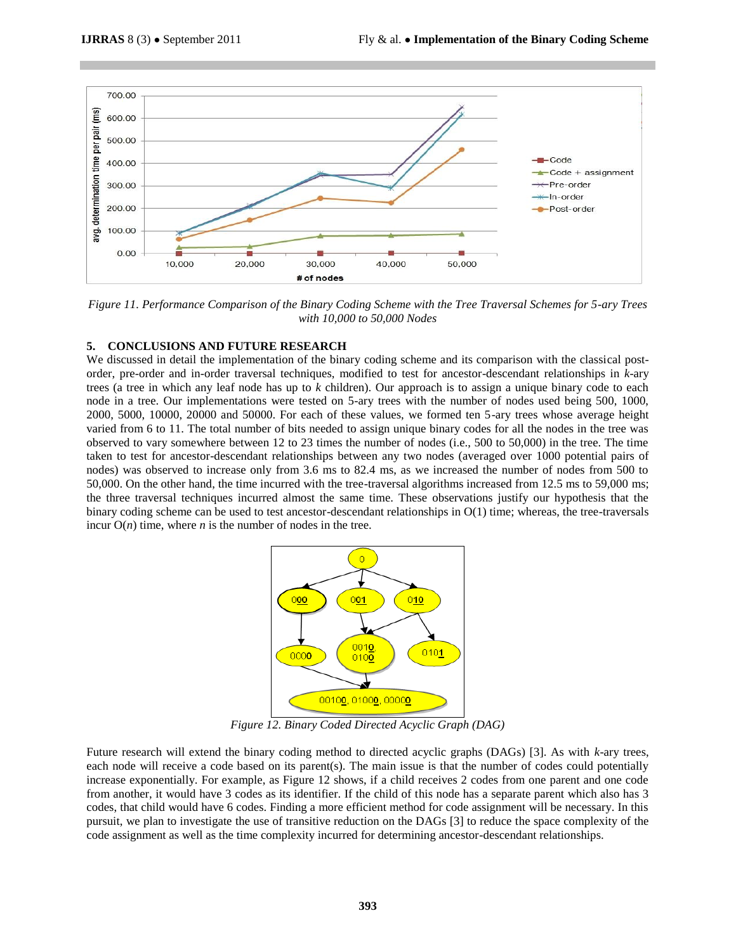

*Figure 11. Performance Comparison of the Binary Coding Scheme with the Tree Traversal Schemes for 5-ary Trees with 10,000 to 50,000 Nodes*

# **5. CONCLUSIONS AND FUTURE RESEARCH**

We discussed in detail the implementation of the binary coding scheme and its comparison with the classical postorder, pre-order and in-order traversal techniques, modified to test for ancestor-descendant relationships in *k*-ary trees (a tree in which any leaf node has up to *k* children). Our approach is to assign a unique binary code to each node in a tree. Our implementations were tested on 5-ary trees with the number of nodes used being 500, 1000, 2000, 5000, 10000, 20000 and 50000. For each of these values, we formed ten 5-ary trees whose average height varied from 6 to 11. The total number of bits needed to assign unique binary codes for all the nodes in the tree was observed to vary somewhere between 12 to 23 times the number of nodes (i.e., 500 to 50,000) in the tree. The time taken to test for ancestor-descendant relationships between any two nodes (averaged over 1000 potential pairs of nodes) was observed to increase only from 3.6 ms to 82.4 ms, as we increased the number of nodes from 500 to 50,000. On the other hand, the time incurred with the tree-traversal algorithms increased from 12.5 ms to 59,000 ms; the three traversal techniques incurred almost the same time. These observations justify our hypothesis that the binary coding scheme can be used to test ancestor-descendant relationships in O(1) time; whereas, the tree-traversals incur  $O(n)$  time, where *n* is the number of nodes in the tree.



*Figure 12. Binary Coded Directed Acyclic Graph (DAG)*

Future research will extend the binary coding method to directed acyclic graphs (DAGs) [3]. As with *k*-ary trees, each node will receive a code based on its parent(s). The main issue is that the number of codes could potentially increase exponentially. For example, as Figure 12 shows, if a child receives 2 codes from one parent and one code from another, it would have 3 codes as its identifier. If the child of this node has a separate parent which also has 3 codes, that child would have 6 codes. Finding a more efficient method for code assignment will be necessary. In this pursuit, we plan to investigate the use of transitive reduction on the DAGs [3] to reduce the space complexity of the code assignment as well as the time complexity incurred for determining ancestor-descendant relationships.